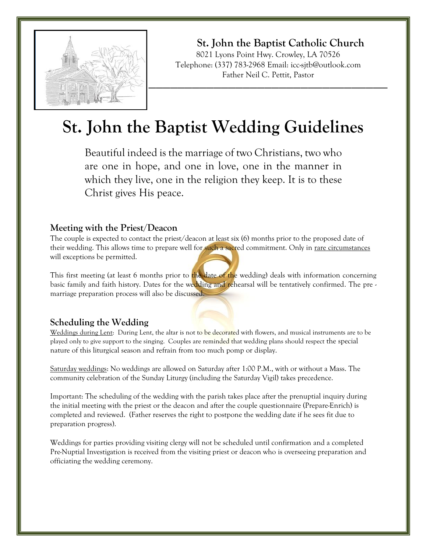

**St. John the Baptist Catholic Church** 8021 Lyons Point Hwy. Crowley, LA 70526 Telephone: (337) 783-2968 Email: icc-sjtb@outlook.com Father Neil C. Pettit, Pastor

# **St. John the Baptist Wedding Guidelines**

Beautiful indeed is the marriage of two Christians, two who are one in hope, and one in love, one in the manner in which they live, one in the religion they keep. It is to these Christ gives His peace.

#### **Meeting with the Priest/Deacon**

The couple is expected to contact the priest/deacon at least six (6) months prior to the proposed date of their wedding. This allows time to prepare well for such a sacred commitment. Only in <u>rare circumstances</u> will exceptions be permitted.

This first meeting (at least 6 months prior to the date of the wedding) deals with information concerning basic family and faith history. Dates for the wedding and rehearsal will be tentatively confirmed. The pre marriage preparation process will also be discussed.

## **Scheduling the Wedding**

Weddings during Lent: During Lent, the altar is not to be decorated with flowers, and musical instruments are to be played only to give support to the singing. Couples are reminded that wedding plans should respect the special nature of this liturgical season and refrain from too much pomp or display.

Saturday weddings: No weddings are allowed on Saturday after 1:00 P.M., with or without a Mass. The community celebration of the Sunday Liturgy (including the Saturday Vigil) takes precedence.

Important: The scheduling of the wedding with the parish takes place after the prenuptial inquiry during the initial meeting with the priest or the deacon and after the couple questionnaire (Prepare-Enrich) is completed and reviewed. (Father reserves the right to postpone the wedding date if he sees fit due to preparation progress).

Weddings for parties providing visiting clergy will not be scheduled until confirmation and a completed Pre-Nuptial Investigation is received from the visiting priest or deacon who is overseeing preparation and officiating the wedding ceremony.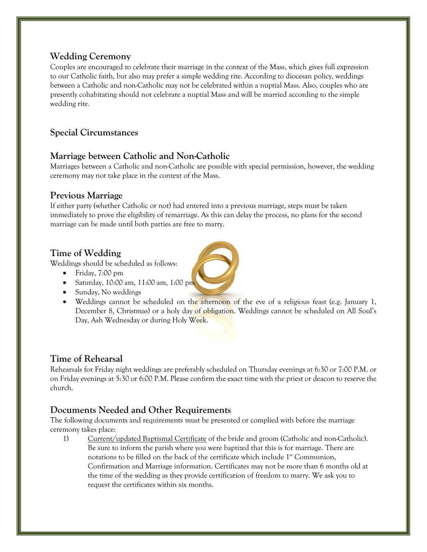# **Wedding Ceremony**

Couples are encouraged to celebrate their marriage in the context of the Mass, which gives full expression to our Catholic faith, but also may prefer a simple wedding rite. According to diocesan policy, weddings between a Catholic and non-Catholic may not be celebrated within a nuptial Mass. Also, couples who are presently cohabitating should not celebrate a nuptial Mass and will be married according to the simple wedding rite.

# **Special Circumstances**

# **Marriage between Catholic and Non-Catholic**

Marriages between a Catholic and non-Catholic are possible with special permission, however, the wedding ceremony may not take place in the context of the Mass.

## **Previous Marriage**

If either party (whether Catholic or not) had entered into a previous marriage, steps must be taken immediately to prove the eligibility of remarriage. As this can delay the process, no plans for the second marriage can be made until both parties are free to marry.

# **Time of Wedding**

Weddings should be scheduled as follows:

- Friday, 7:00 pm
- Saturday, 10:00 am, 11:00 am, 1:00 pm
- Sunday, No weddings
- Weddings cannot be scheduled on the afternoon of the eve of a religious feast (e.g. January 1, December 8, Christmas) or a holy day of obligation. Weddings cannot be scheduled on All Soul's Day, Ash Wednesday or during Holy Week.

# **Time of Rehearsal**

Rehearsals for Friday night weddings are preferably scheduled on Thursday evenings at 6:30 or 7:00 P.M. or on Friday evenings at 5:30 or 6:00 P.M. Please confirm the exact time with the priest or deacon to reserve the church.

# **Documents Needed and Other Requirements**

The following documents and requirements must be presented or complied with before the marriage ceremony takes place:

1) Current/updated Baptismal Certificate of the bride and groom (Catholic and non-Catholic). Be sure to inform the parish where you were baptized that this is for marriage. There are notations to be filled on the back of the certificate which include  $1<sup>st</sup>$  Communion, Confirmation and Marriage information. Certificates may not be more than 6 months old at the time of the wedding as they provide certification of freedom to marry. We ask you to request the certificates within six months.

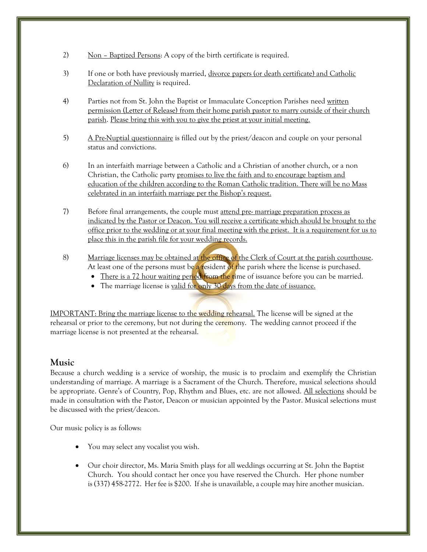- 2) Non Baptized Persons: A copy of the birth certificate is required.
- 3) If one or both have previously married, divorce papers (or death certificate) and Catholic Declaration of Nullity is required.
- 4) Parties not from St. John the Baptist or Immaculate Conception Parishes need written permission (Letter of Release) from their home parish pastor to marry outside of their church parish. Please bring this with you to give the priest at your initial meeting.
- 5) A Pre-Nuptial questionnaire is filled out by the priest/deacon and couple on your personal status and convictions.
- 6) In an interfaith marriage between a Catholic and a Christian of another church, or a non Christian, the Catholic party promises to live the faith and to encourage baptism and education of the children according to the Roman Catholic tradition. There will be no Mass celebrated in an interfaith marriage per the Bishop's request.
- 7) Before final arrangements, the couple must attend pre- marriage preparation process as indicated by the Pastor or Deacon. You will receive a certificate which should be brought to the office prior to the wedding or at your final meeting with the priest. It is a requirement for us to place this in the parish file for your wedding records.
- 8) Marriage licenses may be obtained at the office of the Clerk of Court at the parish courthouse. At least one of the persons must be a resident of the parish where the license is purchased.
	- There is a 72 hour waiting period from the time of issuance before you can be married.
	- The marriage license is valid for only 30 days from the date of issuance.

IMPORTANT: Bring the marriage license to the wedding rehearsal. The license will be signed at the rehearsal or prior to the ceremony, but not during the ceremony. The wedding cannot proceed if the marriage license is not presented at the rehearsal.

#### **Music**

Because a church wedding is a service of worship, the music is to proclaim and exemplify the Christian understanding of marriage. A marriage is a Sacrament of the Church. Therefore, musical selections should be appropriate. Genre's of Country, Pop, Rhythm and Blues, etc. are not allowed. All selections should be made in consultation with the Pastor, Deacon or musician appointed by the Pastor. Musical selections must be discussed with the priest/deacon.

Our music policy is as follows:

- You may select any vocalist you wish.
- Our choir director, Ms. Maria Smith plays for all weddings occurring at St. John the Baptist Church. You should contact her once you have reserved the Church. Her phone number is (337) 458-2772. Her fee is \$200. If she is unavailable, a couple may hire another musician.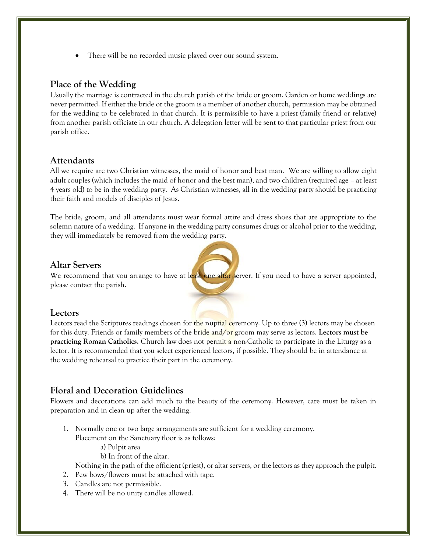• There will be no recorded music played over our sound system.

## **Place of the Wedding**

Usually the marriage is contracted in the church parish of the bride or groom. Garden or home weddings are never permitted. If either the bride or the groom is a member of another church, permission may be obtained for the wedding to be celebrated in that church. It is permissible to have a priest (family friend or relative) from another parish officiate in our church. A delegation letter will be sent to that particular priest from our parish office.

#### **Attendants**

All we require are two Christian witnesses, the maid of honor and best man. We are willing to allow eight adult couples (which includes the maid of honor and the best man), and two children (required age – at least 4 years old) to be in the wedding party. As Christian witnesses, all in the wedding party should be practicing their faith and models of disciples of Jesus.

The bride, groom, and all attendants must wear formal attire and dress shoes that are appropriate to the solemn nature of a wedding. If anyone in the wedding party consumes drugs or alcohol prior to the wedding, they will immediately be removed from the wedding party.

#### **Altar Servers**

We recommend that you arrange to have at least one altar server. If you need to have a server appointed, please contact the parish.

#### **Lectors**

Lectors read the Scriptures readings chosen for the nuptial ceremony. Up to three (3) lectors may be chosen for this duty. Friends or family members of the bride and/or groom may serve as lectors. **Lectors must be practicing Roman Catholics.** Church law does not permit a non-Catholic to participate in the Liturgy as a lector. It is recommended that you select experienced lectors, if possible. They should be in attendance at the wedding rehearsal to practice their part in the ceremony.

## **Floral and Decoration Guidelines**

Flowers and decorations can add much to the beauty of the ceremony. However, care must be taken in preparation and in clean up after the wedding.

- 1. Normally one or two large arrangements are sufficient for a wedding ceremony. Placement on the Sanctuary floor is as follows:
	- a) Pulpit area
	- b) In front of the altar.

Nothing in the path of the officient (priest), or altar servers, or the lectors as they approach the pulpit.

- 2. Pew bows/flowers must be attached with tape.
- 3. Candles are not permissible.
- 4. There will be no unity candles allowed.